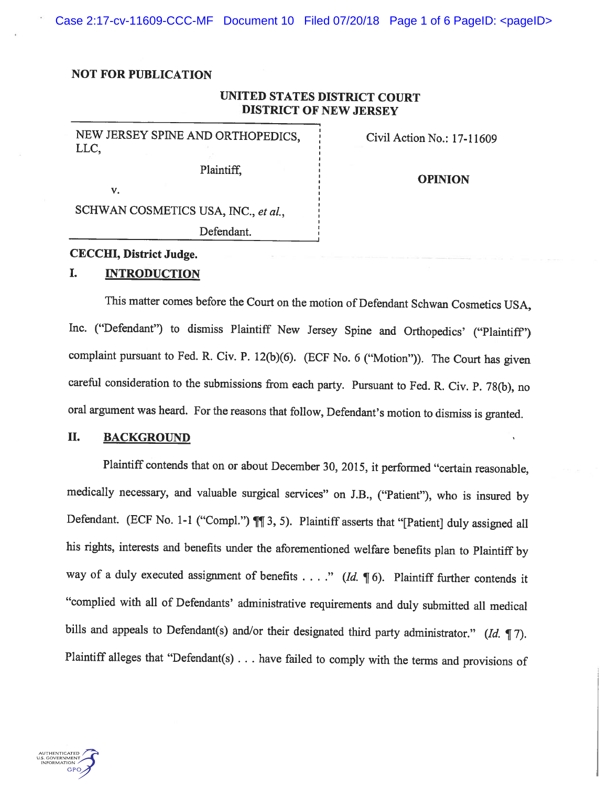Case 2:17-cv-11609-CCC-MF Document 10 Filed 07/20/18 Page 1 of 6 PageID: <pageID>

#### NOT FOR PUBLICATION

# UNITED STATES DISTRICT COURT DISTRICT OF NEW JERSEY

NEW JERSEY SPINE AND ORTHOPEDICS, Civil Action No.: 17-11609 LLC,

Plaintiff,

**OPINION** 

SCHWAN COSMETICS USA, INC., et al.,

Defendant.

## CECCHI, District Judge.

v.

### I. INTRODUCTION

This matter comes before the Court on the motion of Defendant Schwan Cosmetics USA, Inc. ("Defendant") to dismiss Plaintiff New Jersey Spine and Orthopedics' ("Plaintiff") complaint pursuant to Fed. R. Civ. P. 12(b)(6). (ECF No. <sup>6</sup> ("Motion")). The Court has <sup>g</sup>iven careful consideration to the submissions from each party. Pursuant to Fed. R. Civ. P. 78(b), no oral argument was heard. For the reasons that follow, Defendant's motion to dismiss is granted.

# II. BACKGROUND

Plaintiff contends that on or about December 30, 2015, it performed "certain reasonable, medically necessary, and valuable surgical services" on J.B., ("Patient"), who is insured by Defendant. (ECF No. 1-1 ("Compl.")  $\P\P$  3, 5). Plaintiff asserts that "[Patient] duly assigned all his rights, interests and benefits under the aforementioned welfare benefits <sup>p</sup>lan to Plaintiff by way of a duly executed assignment of benefits . . . ." (Id.  $\P$  6). Plaintiff further contends it "complied with all of Defendants' administrative requirements and duly submitted all medical bills and appeals to Defendant(s) and/or their designated third party administrator." (Id.  $\P$ 7). Plaintiff alleges that "Defendant(s) . . . have failed to comply with the terms and provisions of

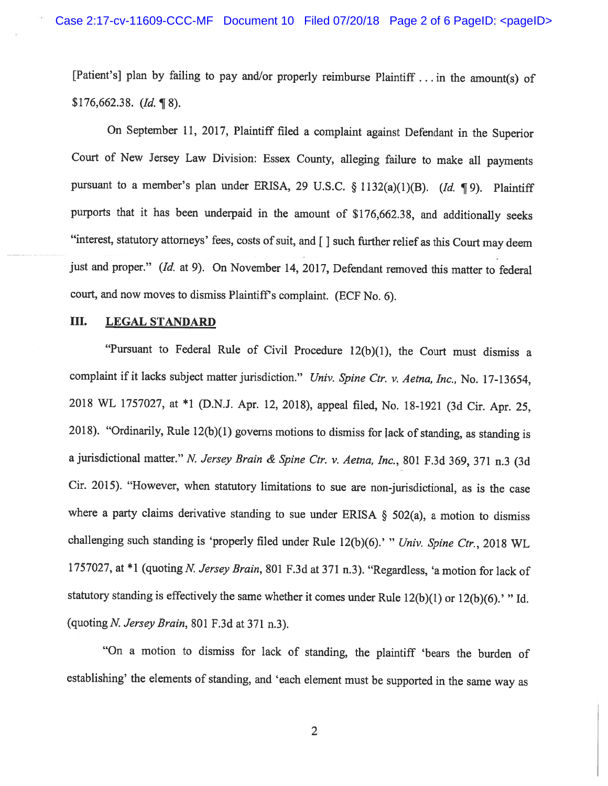[Patient's] <sup>p</sup>lan by failing to pay and/or properly reimburse Plaintiff . . . in the amount(s) of  $$176,662.38.$  (*Id.* \in 8).

On September 11, 2017, Plaintiff filed <sup>a</sup> complaint against Defendant in the Superior Court of New Jersey Law Division: Essex County, alleging failure to make all payments pursuant to a member's plan under ERISA, 29 U.S.C. § 1132(a)(1)(B). (Id. ¶ 9). Plaintiff purports that it has been underpaid in the amount of \$176,662.38, and additionally seeks "interest, statutory attorneys' fees, costs of suit, and [] such further relief as this Court may deem just and proper." (Id. at 9). On November 14, 2017, Defendant removed this matter to federal court, and now moves to dismiss Plaintiff's complaint. (ECF No. 6).

#### III. LEGAL STANDARD

"Pursuant to Federal Rule of Civil Procedure 12(b)(l), the Court must dismiss <sup>a</sup> complaint if it lacks subject matter jurisdiction." Univ. Spine Ctr. v. Aetna, Inc., No. 17-13654, <sup>2018</sup> WL 1757027, at \*1 (D.N.J. Apr. 12, 2018), appeal filed, No. 18-1921 (3d Cir. Apr. 25, 2018). "Ordinarily, Rule  $12(b)(1)$  governs motions to dismiss for lack of standing, as standing is a jurisdictional matter." N. Jersey Brain & Spine Ctr. v. Aetna, Inc., 801 F.3d 369, 371 n.3 (3d Cir. 2015). "However, when statutory limitations to sue are non-jurisdictional, as is the case where a party claims derivative standing to sue under ERISA  $\S$  502(a), a motion to dismiss challenging such standing is 'properly filed under Rule 12(b)(6).' " Univ. Spine Ctr., 2018 WL 1757027, at \*1 (quoting N. Jersey Brain, 801 F.3d at 371 n.3). "Regardless, 'a motion for lack of statutory standing is effectively the same whether it comes under Rule 12(b)(1) or 12(b)(6).' "Id. (quoting N. Jersey Brain, <sup>801</sup> F.3d at <sup>371</sup> n.3).

"On <sup>a</sup> motion to dismiss for lack of standing, the <sup>p</sup>laintiff 'bears the burden of establishing' the elements of standing, and 'each element must be supported in the same way as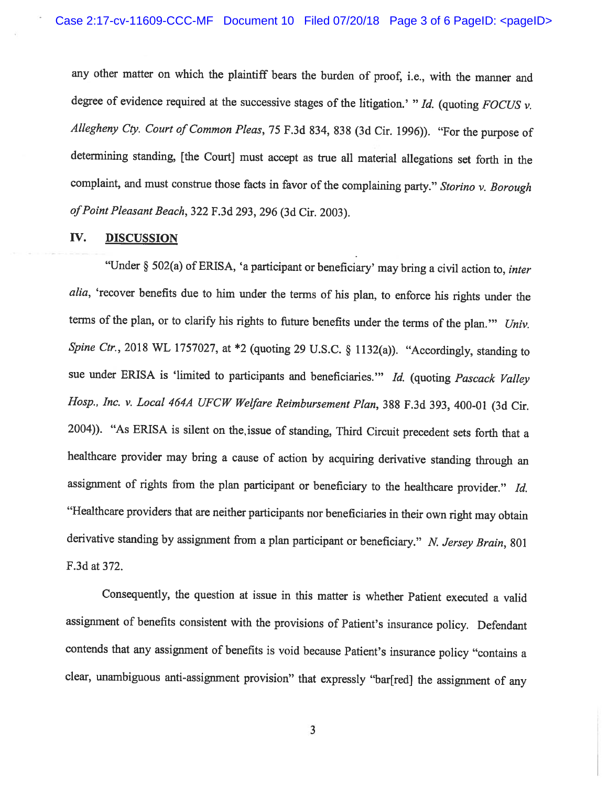any other matter on which the <sup>p</sup>laintiff bears the burden of proof, i.e., with the manner and degree of evidence required at the successive stages of the litigation.' "Id. (quoting FOCUS  $\nu$ . Allegheny Cty. Court of Common Pleas, <sup>75</sup> F.3d \$34, \$38 (3d Cir. 1996)). "For the purpose of determining standing, [the Court] must accept as true all material allegations set forth in the complaint, and must construe those facts in favor of the complaining party." Storino v. Borough of Point Pleasant Beach, 322 F.3d 293, 296 (3d Cir. 2003).

### IV. DISCUSSION

"Under § 502(a) of ERISA, 'a participant or beneficiary' may bring <sup>a</sup> civil action to, inter alia, 'recover benefits due to him under the terms of his <sup>p</sup>lan, to enforce his rights under the terms of the plan, or to clarify his rights to future benefits under the terms of the plan." Univ. Spine Ctr., 2018 WL 1757027, at  $*2$  (quoting 29 U.S.C. § 1132(a)). "Accordingly, standing to sue under ERISA is 'limited to participants and beneficiaries." Id. (quoting Pascack Valley Hosp., Inc. v. Local 464A UFCW Welfare Reimbursement Plan, <sup>388</sup> F.3d 393, 400-01 (3d Cir. 2004)). "As ERISA is silent on the,issue of standing, Third Circuit precedent sets forth that <sup>a</sup> healthcare provider may bring <sup>a</sup> cause of action by acquiring derivative standing through an assignment of rights from the plan participant or beneficiary to the healthcare provider." Id. "Healthcare providers that are neither participants nor beneficiaries in their own right may obtain derivative standing by assignment from a plan participant or beneficiary." N. Jersey Brain, 801 F.3d at 372.

Consequently, the question at issue in this matter is whether Patient executed <sup>a</sup> valid assignment of benefits consistent with the provisions of Patient's insurance policy. Defendant contends that any assignment of benefits is void because Patient's insurance policy "contains <sup>a</sup> clear, unambiguous anti-assignment provision" that expressly "bar[red] the assignment of any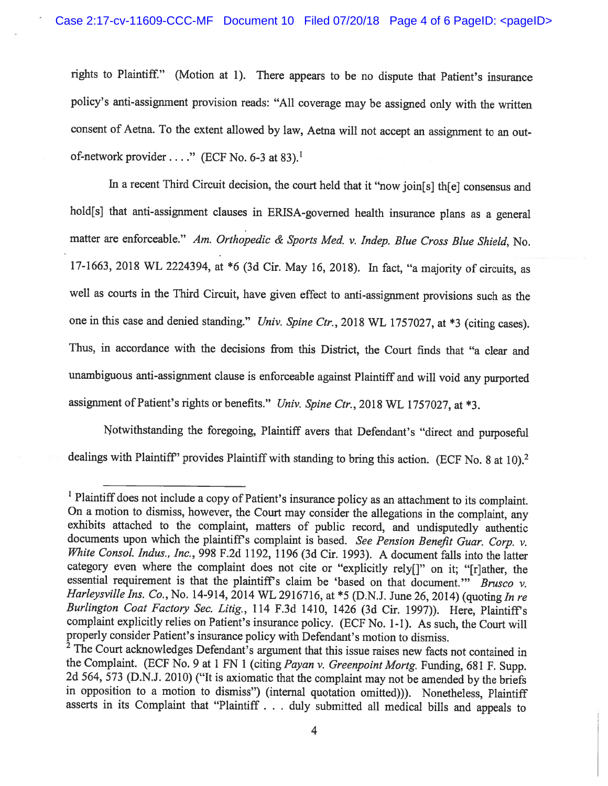rights to Plaintiff." (Motion at 1). There appears to be no dispute that Patient's insurance policy's anti-assignment provision reads: "All coverage may be assigned only with the written consent of Aetna. To the extent allowed by law, Aetna will not accept an assignment to an outof-network provider...." (ECF No. 6-3 at 83).<sup>1</sup>

In a recent Third Circuit decision, the court held that it "now join[s] th[e] consensus and hold[s] that anti-assignment clauses in ERISA-governed health insurance plans as a general matter are enforceable." Am. Orthopedic & Sports Med. v. Indep. Blue Cross Blue Shield, No. 17-1663, <sup>2018</sup> WL 2224394, at \*6 (3d Cir. May 16, 2018). In fact, "a majority of circuits, as well as courts in the Third Circuit, have <sup>g</sup>iven effect to anti-assignment provisions such as the one in this case and denied standing." Univ. Spine Ctr., 2018 WL 1757027, at \*3 (citing cases). Thus, in accordance with the decisions from this District, the Court finds that "a clear and unambiguous anti-assignment clause is enforceable against Plaintiff and will void any purported assignment of Patient's rights or benefits." Univ. Spine Ctr., 2018 WL 1757027, at \*3.

Notwithstanding the foregoing, Plaintiff avers that Defendant's "direct and purposeful dealings with Plaintiff' provides Plaintiff with standing to bring this action. (ECF No. 8 at 10).<sup>2</sup>

<sup>&</sup>lt;sup>1</sup> Plaintiff does not include a copy of Patient's insurance policy as an attachment to its complaint. On a motion to dismiss, however, the Court may consider the allegations in the complaint, any exhibits attached to the complaint, matters of public record, and undisputedly authentic documents upon which the plaintiff's complaint is based. See Pension Benefit Guar. Corp.  $\nu$ . White Consol. Indus., Inc., 998 F.2d 1192, 1196 (3d Cir. 1993). A document falls into the latter category even where the complaint does not cite or "explicitly rely{]" on it; "[r]ather, the essential requirement is that the plaintiff's claim be 'based on that document." Brusco v.<br>Harleysville Ins. Co., No. 14-914, 2014 WL 2916716, at \*5 (D.N.J. June 26, 2014) (quoting In re Burlington Coat Factory Sec. Litig., 114 F.3d 1410, 1426 (3d Cir. 1997)). Here, Plaintiff's complaint explicitly relies on Patient's insurance policy. (ECF No. 1-1). As such, the Court will properly consider Patient's insurance policy with Defendant's motion to dismiss.

<sup>&</sup>lt;sup>2</sup> The Court acknowledges Defendant's argument that this issue raises new facts not contained in the Complaint. (ECF No. 9 at 1 FN 1 (citing *Payan v. Greenpoint Mortg.* Funding, 681 F. Supp. 2d 564, 573 (D.N.J. 2010) ("It is axiomatic that the complaint may not be amended by the briefs in opposition to <sup>a</sup> motion to dismiss") (internal quotation omitted))). Nonetheless, Plaintiff asserts in its Complaint that "Plaintiff . . . duly submitted all medical bills and appeals to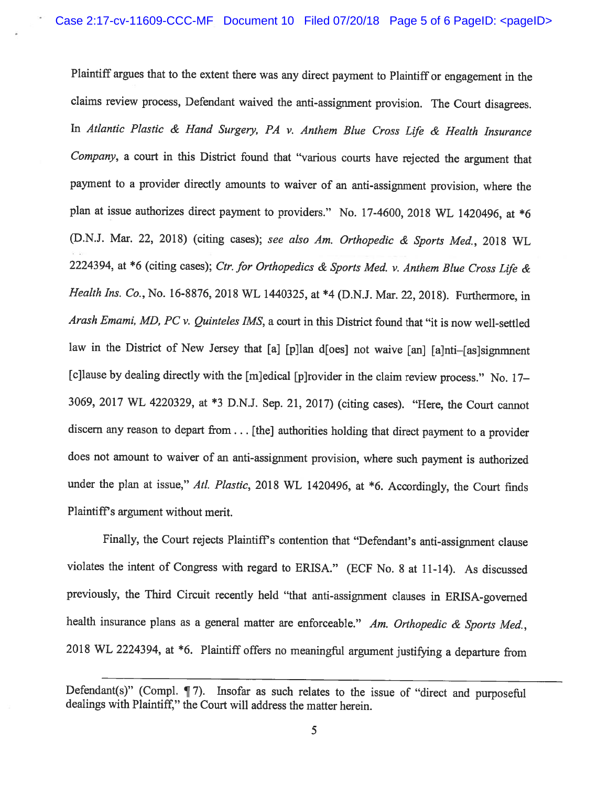Plaintiff argues that to the extent there was any direct payment to Plaintiff or engagement in the claims review process, Defendant waived the anti-assignment provision. The Court disagrees. In Atlantic Plastic & Hand Surgery, PA v. Anthem Blue Cross Life & Health Insurance Company, <sup>a</sup> court in this District found that "various courts have rejected the argument that payment to <sup>a</sup> provider directly amounts to waiver of an anti-assignment provision, where the <sup>p</sup>lan at issue authorizes direct payment to providers." No. 17-4600, <sup>2018</sup> WL 1420496, at \*6 (D.N.J. Mar. 22, 2018) (citing cases); see also Am. Orthopedic & Sports Med., <sup>2018</sup> WL 2224394, at \*6 (citing cases); Ctr. for Orthopedics & Sports Med. v. Anthem Blue Cross Life & Health Ins. Co., No. 16-8876, 2018 WL 1440325, at \*4 (D.N.J. Mar. 22, 2018). Furthermore, in Arash Emami, MD, PC v. Quinteles IMS, a court in this District found that "it is now well-settled law in the District of New Jersey that [a] [p]lan d[oes] not waive [an] [a]nti-[as]signmnent [c]lause by dealing directly with the [m]edical [p]rovider in the claim review process." No. 17— 3069, <sup>2017</sup> WL 4220329, at \*3 D.N.J. Sep. 21, 2017) (citing cases). "Here, the Court cannot discern any reason to depart from. . . [the] authorities holding that direct payment to <sup>a</sup> provider does not amount to waiver of an anti-assignment provision, where such payment is authorized under the plan at issue," Atl. Plastic, 2018 WL 1420496, at \*6. Accordingly, the Court finds Plaintiffs argument without merit.

Finally, the Court rejects Plaintiff's contention that "Defendant's anti-assignment clause violates the intent of Congress with regard to ERISA." (ECF No. <sup>8</sup> at 11-14). As discussed previously, the Third Circuit recently held "that anti-assignment clauses in ERISA-governed health insurance plans as a general matter are enforceable." Am. Orthopedic & Sports Med., <sup>2018</sup> WL 2224394, at \*6. Plaintiff offers no meaningful argument justifying <sup>a</sup> departure from

Defendant(s)" (Compl. ¶ 7). Insofar as such relates to the issue of "direct and purposeful dealings with Plaintiff," the Court will address the matter herein.